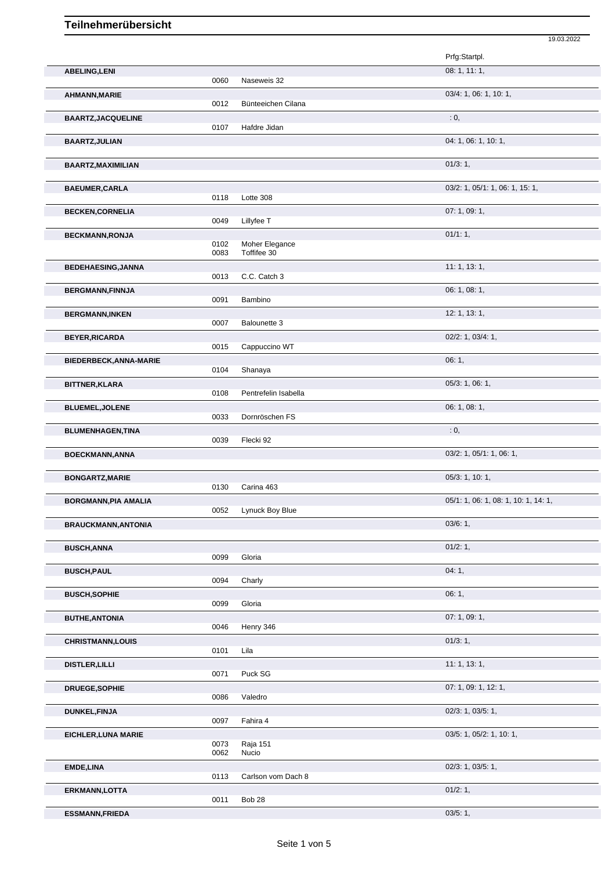|                             |              |                      | 19.03.2022                           |
|-----------------------------|--------------|----------------------|--------------------------------------|
|                             |              |                      | Prfg:Startpl.                        |
| <b>ABELING, LENI</b>        |              |                      | 08: 1, 11: 1,                        |
|                             | 0060         | Naseweis 32          |                                      |
| AHMANN, MARIE               |              |                      | 03/4: 1, 06: 1, 10: 1,               |
|                             | 0012         | Bünteeichen Cilana   |                                      |
| <b>BAARTZ, JACQUELINE</b>   | 0107         | Hafdre Jidan         | : 0,                                 |
| <b>BAARTZ, JULIAN</b>       |              |                      | 04: 1, 06: 1, 10: 1,                 |
|                             |              |                      |                                      |
| BAARTZ, MAXIMILIAN          |              |                      | 01/3:1,                              |
|                             |              |                      |                                      |
| <b>BAEUMER, CARLA</b>       |              |                      | 03/2: 1, 05/1: 1, 06: 1, 15: 1,      |
|                             | 0118         | Lotte 308            |                                      |
| <b>BECKEN, CORNELIA</b>     |              |                      | 07: 1, 09: 1,                        |
|                             | 0049         | Lillyfee T           |                                      |
| <b>BECKMANN, RONJA</b>      | 0102         | Moher Elegance       | 01/1:1,                              |
|                             | 0083         | Toffifee 30          |                                      |
| <b>BEDEHAESING, JANNA</b>   |              |                      | 11:1, 13:1,                          |
|                             | 0013         | C.C. Catch 3         |                                      |
| <b>BERGMANN, FINNJA</b>     |              |                      | 06: 1, 08: 1,                        |
|                             | 0091         | Bambino              |                                      |
| <b>BERGMANN, INKEN</b>      | 0007         | <b>Balounette 3</b>  | 12: 1, 13: 1,                        |
|                             |              |                      | $02/2$ : 1, 03/4: 1,                 |
| <b>BEYER, RICARDA</b>       | 0015         | Cappuccino WT        |                                      |
| BIEDERBECK, ANNA-MARIE      |              |                      | 06:1,                                |
|                             | 0104         | Shanaya              |                                      |
| <b>BITTNER, KLARA</b>       |              |                      | 05/3: 1, 06: 1,                      |
|                             | 0108         | Pentrefelin Isabella |                                      |
| <b>BLUEMEL, JOLENE</b>      |              |                      | 06: 1, 08: 1,                        |
|                             | 0033         | Dornröschen FS       |                                      |
| <b>BLUMENHAGEN, TINA</b>    | 0039         | Flecki 92            | : 0,                                 |
| <b>BOECKMANN, ANNA</b>      |              |                      | 03/2: 1, 05/1: 1, 06: 1,             |
|                             |              |                      |                                      |
| <b>BONGARTZ, MARIE</b>      |              |                      | 05/3: 1, 10: 1,                      |
|                             | 0130         | Carina 463           |                                      |
| <b>BORGMANN, PIA AMALIA</b> |              |                      | 05/1: 1, 06: 1, 08: 1, 10: 1, 14: 1, |
|                             | 0052         | Lynuck Boy Blue      |                                      |
| <b>BRAUCKMANN, ANTONIA</b>  |              |                      | 03/6:1,                              |
|                             |              |                      |                                      |
| <b>BUSCH, ANNA</b>          | 0099         | Gloria               | 01/2:1,                              |
| <b>BUSCH, PAUL</b>          |              |                      | 04:1,                                |
|                             | 0094         | Charly               |                                      |
| <b>BUSCH, SOPHIE</b>        |              |                      | 06:1,                                |
|                             | 0099         | Gloria               |                                      |
| <b>BUTHE, ANTONIA</b>       |              |                      | 07: 1, 09: 1,                        |
|                             | 0046         | Henry 346            |                                      |
| <b>CHRISTMANN, LOUIS</b>    | 0101         | Lila                 | 01/3:1,                              |
|                             |              |                      | 11:1, 13:1,                          |
| <b>DISTLER, LILLI</b>       | 0071         | Puck SG              |                                      |
| DRUEGE, SOPHIE              |              |                      | 07: 1, 09: 1, 12: 1,                 |
|                             | 0086         | Valedro              |                                      |
| <b>DUNKEL, FINJA</b>        |              |                      | 02/3: 1, 03/5: 1,                    |
|                             | 0097         | Fahira 4             |                                      |
| EICHLER, LUNA MARIE         |              |                      | 03/5: 1, 05/2: 1, 10: 1,             |
|                             | 0073<br>0062 | Raja 151<br>Nucio    |                                      |
| EMDE, LINA                  |              |                      | $02/3$ : 1, 03/5: 1,                 |
|                             | 0113         | Carlson vom Dach 8   |                                      |
| ERKMANN, LOTTA              |              |                      | 01/2: 1,                             |
|                             | 0011         | Bob 28               |                                      |
| <b>ESSMANN, FRIEDA</b>      |              |                      | 03/5:1,                              |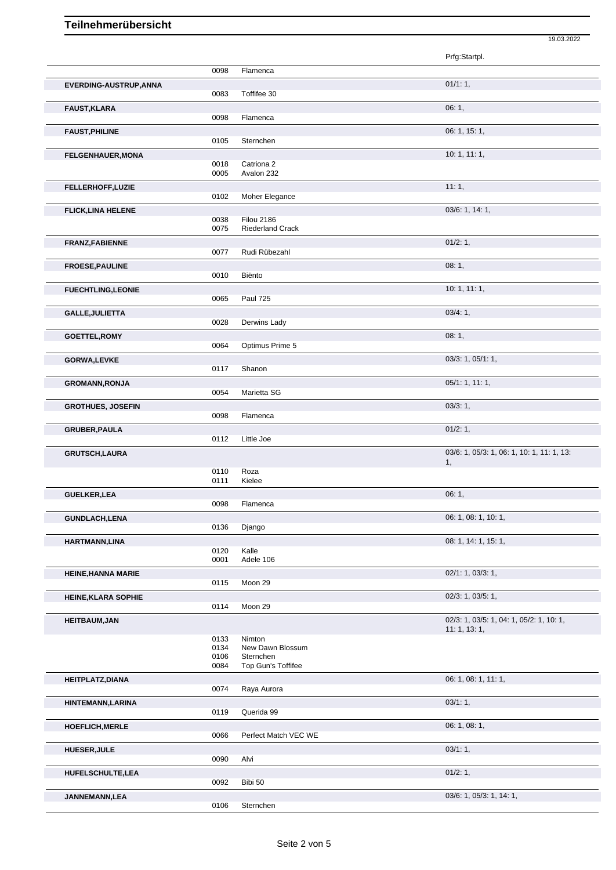|                               |              |                                 | Prfg:Startpl.                              |
|-------------------------------|--------------|---------------------------------|--------------------------------------------|
|                               | 0098         | Flamenca                        |                                            |
|                               |              |                                 |                                            |
| <b>EVERDING-AUSTRUP, ANNA</b> | 0083         | Toffifee 30                     | 01/1:1,                                    |
|                               |              |                                 | 06:1,                                      |
| <b>FAUST, KLARA</b>           | 0098         | Flamenca                        |                                            |
|                               |              |                                 | 06: 1, 15: 1,                              |
| <b>FAUST, PHILINE</b>         | 0105         | Sternchen                       |                                            |
| <b>FELGENHAUER, MONA</b>      |              |                                 | 10:1, 11:1,                                |
|                               | 0018         | Catriona <sub>2</sub>           |                                            |
|                               | 0005         | Avalon 232                      |                                            |
| FELLERHOFF, LUZIE             |              |                                 | 11:1,                                      |
|                               | 0102         | Moher Elegance                  |                                            |
| <b>FLICK, LINA HELENE</b>     |              |                                 | 03/6: 1, 14: 1,                            |
|                               | 0038         | <b>Filou 2186</b>               |                                            |
|                               | 0075         | Riederland Crack                |                                            |
| <b>FRANZ,FABIENNE</b>         |              |                                 | 01/2: 1,                                   |
|                               | 0077         | Rudi Rübezahl                   |                                            |
| <b>FROESE, PAULINE</b>        |              | Biënto                          | 08:1,                                      |
|                               | 0010         |                                 |                                            |
| <b>FUECHTLING,LEONIE</b>      |              |                                 | 10:1, 11:1,                                |
|                               | 0065         | <b>Paul 725</b>                 |                                            |
| <b>GALLE, JULIETTA</b>        | 0028         | Derwins Lady                    | 03/4:1,                                    |
|                               |              |                                 |                                            |
| <b>GOETTEL, ROMY</b>          | 0064         | Optimus Prime 5                 | 08:1,                                      |
|                               |              |                                 |                                            |
| GORWA, LEVKE                  | 0117         | Shanon                          | 03/3: 1, 05/1: 1,                          |
|                               |              |                                 |                                            |
| <b>GROMANN, RONJA</b>         | 0054         | Marietta SG                     | 05/1: 1, 11: 1,                            |
|                               |              |                                 |                                            |
| <b>GROTHUES, JOSEFIN</b>      | 0098         | Flamenca                        | 03/3:1,                                    |
|                               |              |                                 | 01/2: 1,                                   |
| GRUBER, PAULA                 | 0112         | Little Joe                      |                                            |
| <b>GRUTSCH,LAURA</b>          |              |                                 | 03/6: 1, 05/3: 1, 06: 1, 10: 1, 11: 1, 13: |
|                               |              |                                 | 1,                                         |
|                               | 0110         | Roza                            |                                            |
|                               | 0111         | Kielee                          |                                            |
| <b>GUELKER, LEA</b>           |              |                                 | 06:1,                                      |
|                               | 0098         | Flamenca                        |                                            |
| <b>GUNDLACH,LENA</b>          |              |                                 | 06: 1, 08: 1, 10: 1,                       |
|                               | 0136         | Django                          |                                            |
| HARTMANN, LINA                |              |                                 | 08: 1, 14: 1, 15: 1,                       |
|                               | 0120<br>0001 | Kalle<br>Adele 106              |                                            |
|                               |              |                                 |                                            |
| <b>HEINE, HANNA MARIE</b>     | 0115         | Moon 29                         | 02/1: 1, 03/3: 1,                          |
|                               |              |                                 |                                            |
| <b>HEINE, KLARA SOPHIE</b>    | 0114         | Moon 29                         | 02/3: 1, 03/5: 1,                          |
|                               |              |                                 | 02/3: 1, 03/5: 1, 04: 1, 05/2: 1, 10: 1,   |
| <b>HEITBAUM, JAN</b>          |              |                                 | 11: 1, 13: 1,                              |
|                               | 0133         | Nimton                          |                                            |
|                               | 0134         | New Dawn Blossum                |                                            |
|                               | 0106<br>0084 | Sternchen<br>Top Gun's Toffifee |                                            |
|                               |              |                                 | 06: 1, 08: 1, 11: 1,                       |
| HEITPLATZ, DIANA              | 0074         | Raya Aurora                     |                                            |
|                               |              |                                 | 03/1:1,                                    |
| HINTEMANN, LARINA             | 0119         | Querida 99                      |                                            |
|                               |              |                                 | 06: 1, 08: 1,                              |
| HOEFLICH, MERLE               | 0066         | Perfect Match VEC WE            |                                            |
|                               |              |                                 | 03/1:1,                                    |
| <b>HUESER, JULE</b>           | 0090         | Alvi                            |                                            |
|                               |              |                                 | 01/2: 1,                                   |
| HUFELSCHULTE,LEA              | 0092         | Bibi 50                         |                                            |
| JANNEMANN, LEA                |              |                                 | 03/6: 1, 05/3: 1, 14: 1,                   |
|                               |              |                                 |                                            |

19.03.2022

0106 Sternchen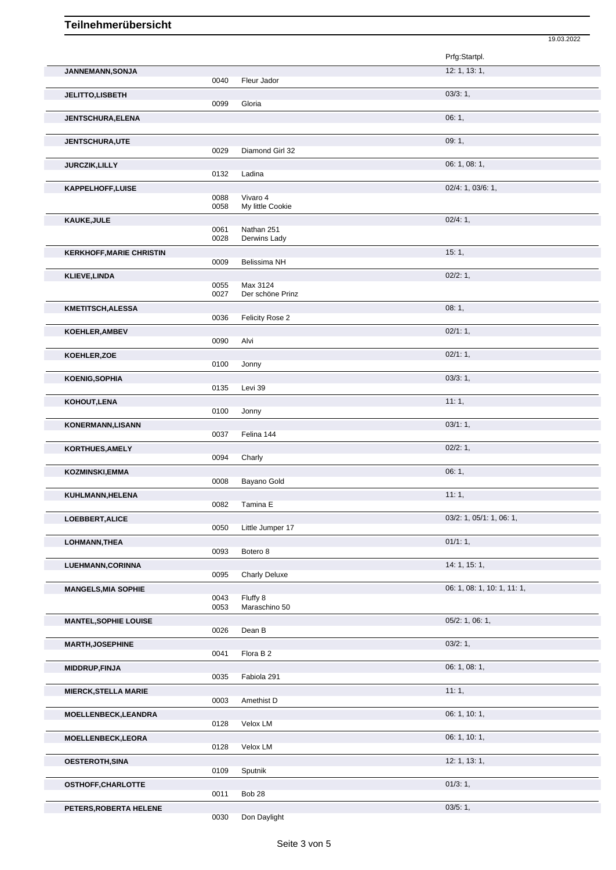|                                 |      |                      | 19.03.2022                  |
|---------------------------------|------|----------------------|-----------------------------|
|                                 |      |                      | Prfg:Startpl.               |
| JANNEMANN, SONJA                |      |                      | 12: 1, 13: 1,               |
|                                 | 0040 | Fleur Jador          |                             |
| JELITTO,LISBETH                 |      |                      | 03/3:1,                     |
|                                 | 0099 | Gloria               |                             |
| <b>JENTSCHURA, ELENA</b>        |      |                      | 06:1,                       |
|                                 |      |                      |                             |
| <b>JENTSCHURA,UTE</b>           | 0029 | Diamond Girl 32      | 09:1,                       |
|                                 |      |                      |                             |
| <b>JURCZIK, LILLY</b>           | 0132 | Ladina               | 06: 1, 08: 1,               |
|                                 |      |                      |                             |
| KAPPELHOFF, LUISE               | 0088 | Vivaro 4             | 02/4: 1, 03/6: 1,           |
|                                 | 0058 | My little Cookie     |                             |
| KAUKE, JULE                     |      |                      | 02/4:1,                     |
|                                 | 0061 | Nathan 251           |                             |
|                                 | 0028 | Derwins Lady         |                             |
| <b>KERKHOFF, MARIE CHRISTIN</b> |      |                      | 15:1,                       |
|                                 | 0009 | Belissima NH         |                             |
| <b>KLIEVE, LINDA</b>            | 0055 | Max 3124             | 02/2:1,                     |
|                                 | 0027 | Der schöne Prinz     |                             |
| <b>KMETITSCH, ALESSA</b>        |      |                      | 08:1,                       |
|                                 | 0036 | Felicity Rose 2      |                             |
| KOEHLER, AMBEV                  |      |                      | 02/1:1,                     |
|                                 | 0090 | Alvi                 |                             |
| KOEHLER, ZOE                    |      |                      | 02/1:1,                     |
|                                 | 0100 | Jonny                |                             |
| <b>KOENIG, SOPHIA</b>           |      |                      | 03/3:1,                     |
|                                 | 0135 | Levi 39              |                             |
| KOHOUT, LENA                    |      |                      | 11:1,                       |
|                                 | 0100 | Jonny                |                             |
| <b>KONERMANN, LISANN</b>        |      |                      | 03/1:1,                     |
|                                 | 0037 | Felina 144           |                             |
| KORTHUES, AMELY                 | 0094 | Charly               | 02/2: 1,                    |
|                                 |      |                      |                             |
| <b>KOZMINSKI, EMMA</b>          | 0008 | Bayano Gold          | 06:1,                       |
| KUHLMANN, HELENA                |      |                      | 11:1,                       |
|                                 | 0082 | Tamina E             |                             |
| LOEBBERT, ALICE                 |      |                      | 03/2: 1, 05/1: 1, 06: 1,    |
|                                 | 0050 | Little Jumper 17     |                             |
| LOHMANN, THEA                   |      |                      | 01/1:1,                     |
|                                 | 0093 | Botero 8             |                             |
| LUEHMANN, CORINNA               |      |                      | 14:1, 15:1,                 |
|                                 | 0095 | <b>Charly Deluxe</b> |                             |
| <b>MANGELS, MIA SOPHIE</b>      |      |                      | 06: 1, 08: 1, 10: 1, 11: 1, |
|                                 | 0043 | Fluffy 8             |                             |
|                                 | 0053 | Maraschino 50        |                             |
| <b>MANTEL, SOPHIE LOUISE</b>    | 0026 | Dean B               | $05/2$ : 1, 06: 1,          |
|                                 |      |                      |                             |
| <b>MARTH, JOSEPHINE</b>         | 0041 | Flora B 2            | 03/2:1,                     |
|                                 |      |                      | 06: 1, 08: 1,               |
| MIDDRUP, FINJA                  | 0035 | Fabiola 291          |                             |
| <b>MIERCK, STELLA MARIE</b>     |      |                      | 11:1,                       |
|                                 | 0003 | Amethist D           |                             |
| MOELLENBECK, LEANDRA            |      |                      | 06: 1, 10: 1,               |
|                                 | 0128 | Velox LM             |                             |
| MOELLENBECK, LEORA              |      |                      | 06: 1, 10: 1,               |
|                                 | 0128 | Velox LM             |                             |
| OESTEROTH, SINA                 |      |                      | 12: 1, 13: 1,               |
|                                 | 0109 | Sputnik              |                             |
| OSTHOFF, CHARLOTTE              |      |                      | 01/3:1,                     |
|                                 | 0011 | Bob 28               |                             |
| PETERS, ROBERTA HELENE          |      |                      | 03/5:1,                     |

0030 Don Daylight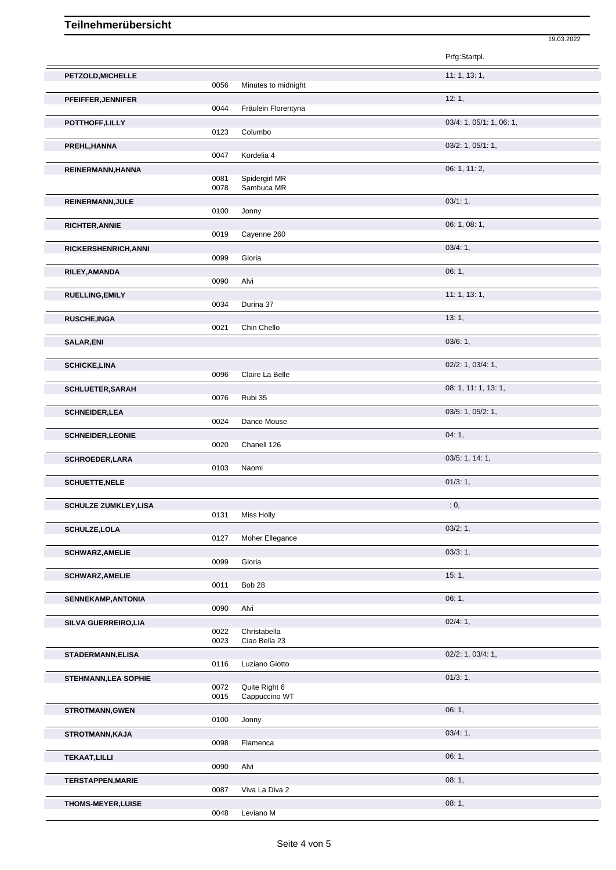|                             |              |                                | Prfg:Startpl.            |
|-----------------------------|--------------|--------------------------------|--------------------------|
| PETZOLD, MICHELLE           | 0056         | Minutes to midnight            | 11: 1, 13: 1,            |
| PFEIFFER, JENNIFER          |              |                                | 12:1,                    |
| POTTHOFF, LILLY             | 0044         | Fräulein Florentyna            | 03/4: 1, 05/1: 1, 06: 1, |
|                             | 0123         | Columbo                        |                          |
| PREHL, HANNA                | 0047         | Kordelia 4                     | 03/2: 1, 05/1: 1,        |
| REINERMANN, HANNA           | 0081         | Spidergirl MR                  | 06: 1, 11: 2,            |
|                             | 0078         | Sambuca MR                     |                          |
| REINERMANN, JULE            | 0100         | Jonny                          | 03/1:1,                  |
| <b>RICHTER, ANNIE</b>       | 0019         | Cayenne 260                    | 06: 1, 08: 1,            |
| <b>RICKERSHENRICH, ANNI</b> |              |                                | 03/4:1,                  |
|                             | 0099         | Gloria                         | 06:1,                    |
| RILEY, AMANDA               | 0090         | Alvi                           |                          |
| <b>RUELLING, EMILY</b>      | 0034         | Durina 37                      | 11:1, 13:1,              |
| <b>RUSCHE, INGA</b>         |              |                                | 13:1,                    |
| <b>SALAR,ENI</b>            | 0021         | Chin Chello                    | 03/6: 1,                 |
|                             |              |                                |                          |
| <b>SCHICKE,LINA</b>         | 0096         | Claire La Belle                | 02/2: 1, 03/4: 1,        |
| <b>SCHLUETER, SARAH</b>     |              |                                | 08: 1, 11: 1, 13: 1,     |
| <b>SCHNEIDER, LEA</b>       | 0076         | Rubi 35                        | 03/5: 1, 05/2: 1,        |
|                             | 0024         | Dance Mouse                    |                          |
| <b>SCHNEIDER, LEONIE</b>    | 0020         | Chanell 126                    | 04:1,                    |
| <b>SCHROEDER, LARA</b>      | 0103         | Naomi                          | 03/5: 1, 14: 1,          |
| <b>SCHUETTE, NELE</b>       |              |                                | 01/3:1,                  |
|                             |              |                                | : 0,                     |
| <b>SCHULZE ZUMKLEY,LISA</b> | 0131         | <b>Miss Holly</b>              |                          |
| <b>SCHULZE, LOLA</b>        | 0127         | Moher Ellegance                | 03/2:1,                  |
| <b>SCHWARZ, AMELIE</b>      |              |                                | 03/3:1,                  |
| <b>SCHWARZ, AMELIE</b>      | 0099         | Gloria                         | 15:1,                    |
|                             | 0011         | Bob 28                         |                          |
| SENNEKAMP, ANTONIA          | 0090         | Alvi                           | 06:1,                    |
| SILVA GUERREIRO, LIA        | 0022         | Christabella                   | 02/4:1,                  |
|                             | 0023         | Ciao Bella 23                  |                          |
| STADERMANN, ELISA           | 0116         | Luziano Giotto                 | 02/2: 1, 03/4: 1,        |
| <b>STEHMANN, LEA SOPHIE</b> |              |                                | 01/3:1,                  |
|                             | 0072<br>0015 | Quite Right 6<br>Cappuccino WT |                          |
| <b>STROTMANN, GWEN</b>      | 0100         | Jonny                          | 06:1,                    |
| <b>STROTMANN, KAJA</b>      |              |                                | 03/4:1,                  |
| <b>TEKAAT, LILLI</b>        | 0098         | Flamenca                       | 06:1,                    |
|                             | 0090         | Alvi                           |                          |
| <b>TERSTAPPEN, MARIE</b>    | 0087         | Viva La Diva 2                 | 08:1,                    |
| THOMS-MEYER, LUISE          | 0048         | Leviano M                      | 08:1,                    |
|                             |              |                                |                          |

19.03.2022